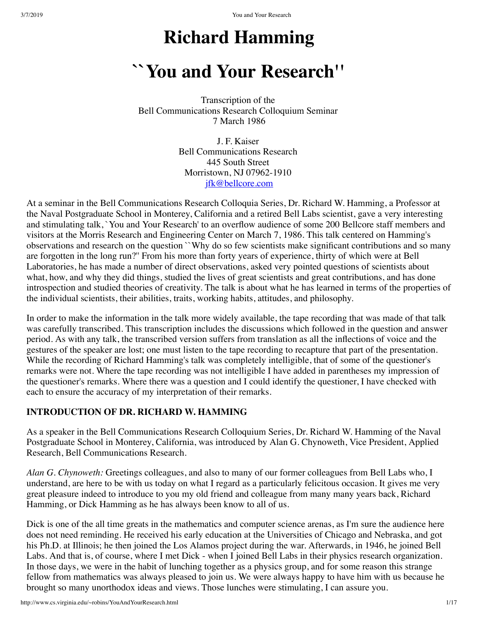# **Richard Hamming**

# **``You and Your Research''**

Transcription of the Bell Communications Research Colloquium Seminar 7 March 1986

> J. F. Kaiser Bell Communications Research 445 South Street Morristown, NJ 07962-1910 [jfk@bellcore.com](mailto:jfk@bellcore.com)

At a seminar in the Bell Communications Research Colloquia Series, Dr. Richard W. Hamming, a Professor at the Naval Postgraduate School in Monterey, California and a retired Bell Labs scientist, gave a very interesting and stimulating talk, `You and Your Research' to an overflow audience of some 200 Bellcore staff members and visitors at the Morris Research and Engineering Center on March 7, 1986. This talk centered on Hamming's observations and research on the question ``Why do so few scientists make significant contributions and so many are forgotten in the long run?'' From his more than forty years of experience, thirty of which were at Bell Laboratories, he has made a number of direct observations, asked very pointed questions of scientists about what, how, and why they did things, studied the lives of great scientists and great contributions, and has done introspection and studied theories of creativity. The talk is about what he has learned in terms of the properties of the individual scientists, their abilities, traits, working habits, attitudes, and philosophy.

In order to make the information in the talk more widely available, the tape recording that was made of that talk was carefully transcribed. This transcription includes the discussions which followed in the question and answer period. As with any talk, the transcribed version suffers from translation as all the inflections of voice and the gestures of the speaker are lost; one must listen to the tape recording to recapture that part of the presentation. While the recording of Richard Hamming's talk was completely intelligible, that of some of the questioner's remarks were not. Where the tape recording was not intelligible I have added in parentheses my impression of the questioner's remarks. Where there was a question and I could identify the questioner, I have checked with each to ensure the accuracy of my interpretation of their remarks.

# **INTRODUCTION OF DR. RICHARD W. HAMMING**

As a speaker in the Bell Communications Research Colloquium Series, Dr. Richard W. Hamming of the Naval Postgraduate School in Monterey, California, was introduced by Alan G. Chynoweth, Vice President, Applied Research, Bell Communications Research.

*Alan G. Chynoweth:* Greetings colleagues, and also to many of our former colleagues from Bell Labs who, I understand, are here to be with us today on what I regard as a particularly felicitous occasion. It gives me very great pleasure indeed to introduce to you my old friend and colleague from many many years back, Richard Hamming, or Dick Hamming as he has always been know to all of us.

Dick is one of the all time greats in the mathematics and computer science arenas, as I'm sure the audience here does not need reminding. He received his early education at the Universities of Chicago and Nebraska, and got his Ph.D. at Illinois; he then joined the Los Alamos project during the war. Afterwards, in 1946, he joined Bell Labs. And that is, of course, where I met Dick - when I joined Bell Labs in their physics research organization. In those days, we were in the habit of lunching together as a physics group, and for some reason this strange fellow from mathematics was always pleased to join us. We were always happy to have him with us because he brought so many unorthodox ideas and views. Those lunches were stimulating, I can assure you.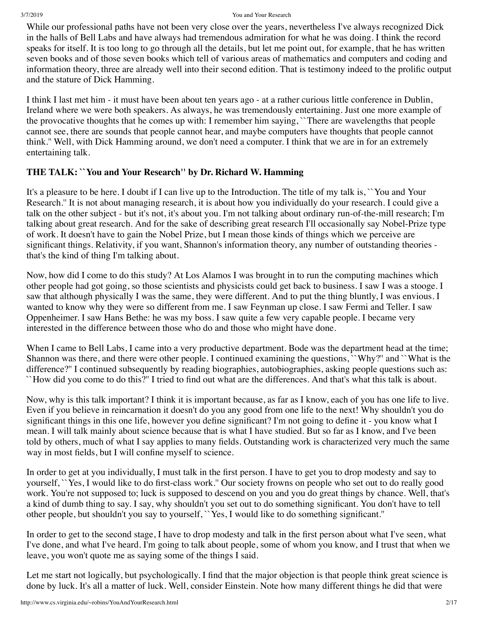While our professional paths have not been very close over the years, nevertheless I've always recognized Dick in the halls of Bell Labs and have always had tremendous admiration for what he was doing. I think the record speaks for itself. It is too long to go through all the details, but let me point out, for example, that he has written seven books and of those seven books which tell of various areas of mathematics and computers and coding and information theory, three are already well into their second edition. That is testimony indeed to the prolific output and the stature of Dick Hamming.

I think I last met him - it must have been about ten years ago - at a rather curious little conference in Dublin, Ireland where we were both speakers. As always, he was tremendously entertaining. Just one more example of the provocative thoughts that he comes up with: I remember him saying, ``There are wavelengths that people cannot see, there are sounds that people cannot hear, and maybe computers have thoughts that people cannot think.'' Well, with Dick Hamming around, we don't need a computer. I think that we are in for an extremely entertaining talk.

# **THE TALK: ``You and Your Research'' by Dr. Richard W. Hamming**

It's a pleasure to be here. I doubt if I can live up to the Introduction. The title of my talk is, ``You and Your Research.'' It is not about managing research, it is about how you individually do your research. I could give a talk on the other subject - but it's not, it's about you. I'm not talking about ordinary run-of-the-mill research; I'm talking about great research. And for the sake of describing great research I'll occasionally say Nobel-Prize type of work. It doesn't have to gain the Nobel Prize, but I mean those kinds of things which we perceive are significant things. Relativity, if you want, Shannon's information theory, any number of outstanding theories that's the kind of thing I'm talking about.

Now, how did I come to do this study? At Los Alamos I was brought in to run the computing machines which other people had got going, so those scientists and physicists could get back to business. I saw I was a stooge. I saw that although physically I was the same, they were different. And to put the thing bluntly, I was envious. I wanted to know why they were so different from me. I saw Feynman up close. I saw Fermi and Teller. I saw Oppenheimer. I saw Hans Bethe: he was my boss. I saw quite a few very capable people. I became very interested in the difference between those who do and those who might have done.

When I came to Bell Labs, I came into a very productive department. Bode was the department head at the time; Shannon was there, and there were other people. I continued examining the questions, ``Why?'' and ``What is the difference?'' I continued subsequently by reading biographies, autobiographies, asking people questions such as: ``How did you come to do this?'' I tried to find out what are the differences. And that's what this talk is about.

Now, why is this talk important? I think it is important because, as far as I know, each of you has one life to live. Even if you believe in reincarnation it doesn't do you any good from one life to the next! Why shouldn't you do significant things in this one life, however you define significant? I'm not going to define it - you know what I mean. I will talk mainly about science because that is what I have studied. But so far as I know, and I've been told by others, much of what I say applies to many fields. Outstanding work is characterized very much the same way in most fields, but I will confine myself to science.

In order to get at you individually, I must talk in the first person. I have to get you to drop modesty and say to yourself, ``Yes, I would like to do first-class work.'' Our society frowns on people who set out to do really good work. You're not supposed to; luck is supposed to descend on you and you do great things by chance. Well, that's a kind of dumb thing to say. I say, why shouldn't you set out to do something significant. You don't have to tell other people, but shouldn't you say to yourself, ``Yes, I would like to do something significant.''

In order to get to the second stage, I have to drop modesty and talk in the first person about what I've seen, what I've done, and what I've heard. I'm going to talk about people, some of whom you know, and I trust that when we leave, you won't quote me as saying some of the things I said.

Let me start not logically, but psychologically. I find that the major objection is that people think great science is done by luck. It's all a matter of luck. Well, consider Einstein. Note how many different things he did that were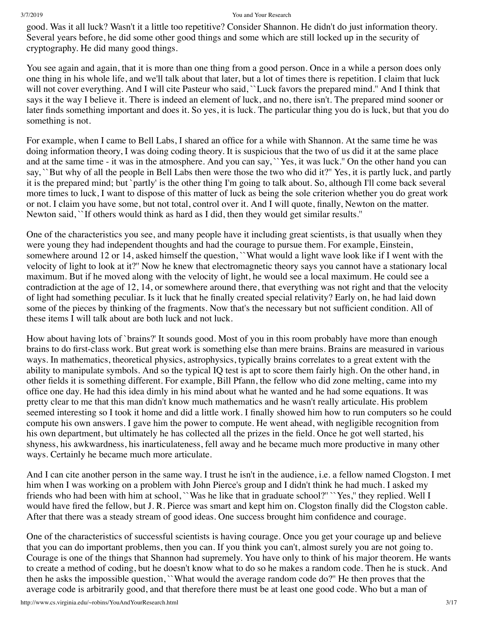good. Was it all luck? Wasn't it a little too repetitive? Consider Shannon. He didn't do just information theory. Several years before, he did some other good things and some which are still locked up in the security of cryptography. He did many good things.

You see again and again, that it is more than one thing from a good person. Once in a while a person does only one thing in his whole life, and we'll talk about that later, but a lot of times there is repetition. I claim that luck will not cover everything. And I will cite Pasteur who said, "Luck favors the prepared mind." And I think that says it the way I believe it. There is indeed an element of luck, and no, there isn't. The prepared mind sooner or later finds something important and does it. So yes, it is luck. The particular thing you do is luck, but that you do something is not.

For example, when I came to Bell Labs, I shared an office for a while with Shannon. At the same time he was doing information theory, I was doing coding theory. It is suspicious that the two of us did it at the same place and at the same time - it was in the atmosphere. And you can say, ``Yes, it was luck.'' On the other hand you can say, "But why of all the people in Bell Labs then were those the two who did it?" Yes, it is partly luck, and partly it is the prepared mind; but `partly' is the other thing I'm going to talk about. So, although I'll come back several more times to luck, I want to dispose of this matter of luck as being the sole criterion whether you do great work or not. I claim you have some, but not total, control over it. And I will quote, finally, Newton on the matter. Newton said, ``If others would think as hard as I did, then they would get similar results.''

One of the characteristics you see, and many people have it including great scientists, is that usually when they were young they had independent thoughts and had the courage to pursue them. For example, Einstein, somewhere around 12 or 14, asked himself the question, "What would a light wave look like if I went with the velocity of light to look at it?'' Now he knew that electromagnetic theory says you cannot have a stationary local maximum. But if he moved along with the velocity of light, he would see a local maximum. He could see a contradiction at the age of 12, 14, or somewhere around there, that everything was not right and that the velocity of light had something peculiar. Is it luck that he finally created special relativity? Early on, he had laid down some of the pieces by thinking of the fragments. Now that's the necessary but not sufficient condition. All of these items I will talk about are both luck and not luck.

How about having lots of `brains?' It sounds good. Most of you in this room probably have more than enough brains to do first-class work. But great work is something else than mere brains. Brains are measured in various ways. In mathematics, theoretical physics, astrophysics, typically brains correlates to a great extent with the ability to manipulate symbols. And so the typical IQ test is apt to score them fairly high. On the other hand, in other fields it is something different. For example, Bill Pfann, the fellow who did zone melting, came into my office one day. He had this idea dimly in his mind about what he wanted and he had some equations. It was pretty clear to me that this man didn't know much mathematics and he wasn't really articulate. His problem seemed interesting so I took it home and did a little work. I finally showed him how to run computers so he could compute his own answers. I gave him the power to compute. He went ahead, with negligible recognition from his own department, but ultimately he has collected all the prizes in the field. Once he got well started, his shyness, his awkwardness, his inarticulateness, fell away and he became much more productive in many other ways. Certainly he became much more articulate.

And I can cite another person in the same way. I trust he isn't in the audience, i.e. a fellow named Clogston. I met him when I was working on a problem with John Pierce's group and I didn't think he had much. I asked my friends who had been with him at school, ``Was he like that in graduate school?'' ``Yes,'' they replied. Well I would have fired the fellow, but J. R. Pierce was smart and kept him on. Clogston finally did the Clogston cable. After that there was a steady stream of good ideas. One success brought him confidence and courage.

One of the characteristics of successful scientists is having courage. Once you get your courage up and believe that you can do important problems, then you can. If you think you can't, almost surely you are not going to. Courage is one of the things that Shannon had supremely. You have only to think of his major theorem. He wants to create a method of coding, but he doesn't know what to do so he makes a random code. Then he is stuck. And then he asks the impossible question, ``What would the average random code do?'' He then proves that the average code is arbitrarily good, and that therefore there must be at least one good code. Who but a man of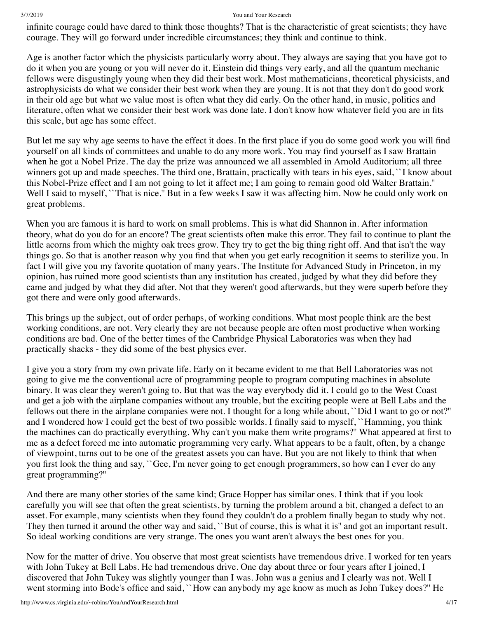infinite courage could have dared to think those thoughts? That is the characteristic of great scientists; they have courage. They will go forward under incredible circumstances; they think and continue to think.

Age is another factor which the physicists particularly worry about. They always are saying that you have got to do it when you are young or you will never do it. Einstein did things very early, and all the quantum mechanic fellows were disgustingly young when they did their best work. Most mathematicians, theoretical physicists, and astrophysicists do what we consider their best work when they are young. It is not that they don't do good work in their old age but what we value most is often what they did early. On the other hand, in music, politics and literature, often what we consider their best work was done late. I don't know how whatever field you are in fits this scale, but age has some effect.

But let me say why age seems to have the effect it does. In the first place if you do some good work you will find yourself on all kinds of committees and unable to do any more work. You may find yourself as I saw Brattain when he got a Nobel Prize. The day the prize was announced we all assembled in Arnold Auditorium; all three winners got up and made speeches. The third one, Brattain, practically with tears in his eyes, said, ``I know about this Nobel-Prize effect and I am not going to let it affect me; I am going to remain good old Walter Brattain.'' Well I said to myself, "That is nice." But in a few weeks I saw it was affecting him. Now he could only work on great problems.

When you are famous it is hard to work on small problems. This is what did Shannon in. After information theory, what do you do for an encore? The great scientists often make this error. They fail to continue to plant the little acorns from which the mighty oak trees grow. They try to get the big thing right off. And that isn't the way things go. So that is another reason why you find that when you get early recognition it seems to sterilize you. In fact I will give you my favorite quotation of many years. The Institute for Advanced Study in Princeton, in my opinion, has ruined more good scientists than any institution has created, judged by what they did before they came and judged by what they did after. Not that they weren't good afterwards, but they were superb before they got there and were only good afterwards.

This brings up the subject, out of order perhaps, of working conditions. What most people think are the best working conditions, are not. Very clearly they are not because people are often most productive when working conditions are bad. One of the better times of the Cambridge Physical Laboratories was when they had practically shacks - they did some of the best physics ever.

I give you a story from my own private life. Early on it became evident to me that Bell Laboratories was not going to give me the conventional acre of programming people to program computing machines in absolute binary. It was clear they weren't going to. But that was the way everybody did it. I could go to the West Coast and get a job with the airplane companies without any trouble, but the exciting people were at Bell Labs and the fellows out there in the airplane companies were not. I thought for a long while about, ``Did I want to go or not?'' and I wondered how I could get the best of two possible worlds. I finally said to myself, ``Hamming, you think the machines can do practically everything. Why can't you make them write programs?'' What appeared at first to me as a defect forced me into automatic programming very early. What appears to be a fault, often, by a change of viewpoint, turns out to be one of the greatest assets you can have. But you are not likely to think that when you first look the thing and say, ``Gee, I'm never going to get enough programmers, so how can I ever do any great programming?''

And there are many other stories of the same kind; Grace Hopper has similar ones. I think that if you look carefully you will see that often the great scientists, by turning the problem around a bit, changed a defect to an asset. For example, many scientists when they found they couldn't do a problem finally began to study why not. They then turned it around the other way and said, "But of course, this is what it is" and got an important result. So ideal working conditions are very strange. The ones you want aren't always the best ones for you.

Now for the matter of drive. You observe that most great scientists have tremendous drive. I worked for ten years with John Tukey at Bell Labs. He had tremendous drive. One day about three or four years after I joined, I discovered that John Tukey was slightly younger than I was. John was a genius and I clearly was not. Well I went storming into Bode's office and said, "How can anybody my age know as much as John Tukey does?" He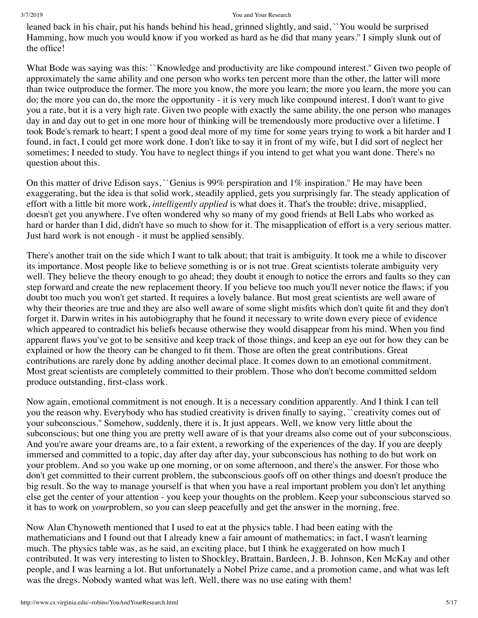leaned back in his chair, put his hands behind his head, grinned slightly, and said, ``You would be surprised Hamming, how much you would know if you worked as hard as he did that many years.'' I simply slunk out of the office!

What Bode was saying was this: ``Knowledge and productivity are like compound interest.'' Given two people of approximately the same ability and one person who works ten percent more than the other, the latter will more than twice outproduce the former. The more you know, the more you learn; the more you learn, the more you can do; the more you can do, the more the opportunity - it is very much like compound interest. I don't want to give you a rate, but it is a very high rate. Given two people with exactly the same ability, the one person who manages day in and day out to get in one more hour of thinking will be tremendously more productive over a lifetime. I took Bode's remark to heart; I spent a good deal more of my time for some years trying to work a bit harder and I found, in fact, I could get more work done. I don't like to say it in front of my wife, but I did sort of neglect her sometimes; I needed to study. You have to neglect things if you intend to get what you want done. There's no question about this.

On this matter of drive Edison says, ``Genius is 99% perspiration and 1% inspiration.'' He may have been exaggerating, but the idea is that solid work, steadily applied, gets you surprisingly far. The steady application of effort with a little bit more work, *intelligently applied* is what does it. That's the trouble; drive, misapplied, doesn't get you anywhere. I've often wondered why so many of my good friends at Bell Labs who worked as hard or harder than I did, didn't have so much to show for it. The misapplication of effort is a very serious matter. Just hard work is not enough - it must be applied sensibly.

There's another trait on the side which I want to talk about; that trait is ambiguity. It took me a while to discover its importance. Most people like to believe something is or is not true. Great scientists tolerate ambiguity very well. They believe the theory enough to go ahead; they doubt it enough to notice the errors and faults so they can step forward and create the new replacement theory. If you believe too much you'll never notice the flaws; if you doubt too much you won't get started. It requires a lovely balance. But most great scientists are well aware of why their theories are true and they are also well aware of some slight misfits which don't quite fit and they don't forget it. Darwin writes in his autobiography that he found it necessary to write down every piece of evidence which appeared to contradict his beliefs because otherwise they would disappear from his mind. When you find apparent flaws you've got to be sensitive and keep track of those things, and keep an eye out for how they can be explained or how the theory can be changed to fit them. Those are often the great contributions. Great contributions are rarely done by adding another decimal place. It comes down to an emotional commitment. Most great scientists are completely committed to their problem. Those who don't become committed seldom produce outstanding, first-class work.

Now again, emotional commitment is not enough. It is a necessary condition apparently. And I think I can tell you the reason why. Everybody who has studied creativity is driven finally to saying, ``creativity comes out of your subconscious.'' Somehow, suddenly, there it is. It just appears. Well, we know very little about the subconscious; but one thing you are pretty well aware of is that your dreams also come out of your subconscious. And you're aware your dreams are, to a fair extent, a reworking of the experiences of the day. If you are deeply immersed and committed to a topic, day after day after day, your subconscious has nothing to do but work on your problem. And so you wake up one morning, or on some afternoon, and there's the answer. For those who don't get committed to their current problem, the subconscious goofs off on other things and doesn't produce the big result. So the way to manage yourself is that when you have a real important problem you don't let anything else get the center of your attention - you keep your thoughts on the problem. Keep your subconscious starved so it has to work on *your*problem, so you can sleep peacefully and get the answer in the morning, free.

Now Alan Chynoweth mentioned that I used to eat at the physics table. I had been eating with the mathematicians and I found out that I already knew a fair amount of mathematics; in fact, I wasn't learning much. The physics table was, as he said, an exciting place, but I think he exaggerated on how much I contributed. It was very interesting to listen to Shockley, Brattain, Bardeen, J. B. Johnson, Ken McKay and other people, and I was learning a lot. But unfortunately a Nobel Prize came, and a promotion came, and what was left was the dregs. Nobody wanted what was left. Well, there was no use eating with them!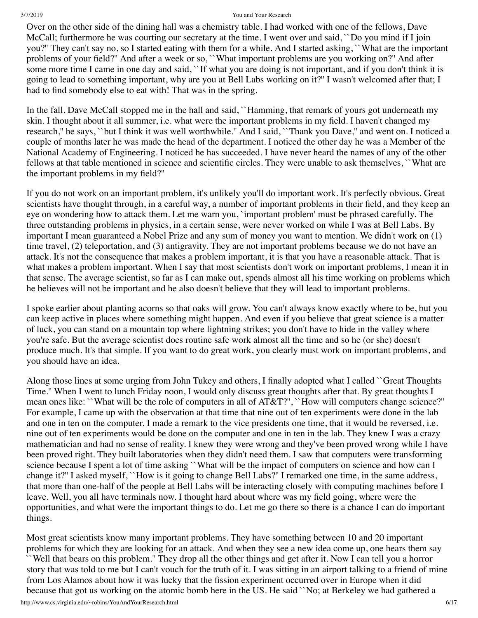Over on the other side of the dining hall was a chemistry table. I had worked with one of the fellows, Dave McCall; furthermore he was courting our secretary at the time. I went over and said, ``Do you mind if I join you?'' They can't say no, so I started eating with them for a while. And I started asking, ``What are the important problems of your field?'' And after a week or so, ``What important problems are you working on?'' And after some more time I came in one day and said, "If what you are doing is not important, and if you don't think it is going to lead to something important, why are you at Bell Labs working on it?'' I wasn't welcomed after that; I had to find somebody else to eat with! That was in the spring.

In the fall, Dave McCall stopped me in the hall and said, "Hamming, that remark of yours got underneath my skin. I thought about it all summer, i.e. what were the important problems in my field. I haven't changed my research," he says, ``but I think it was well worthwhile." And I said, ``Thank you Dave," and went on. I noticed a couple of months later he was made the head of the department. I noticed the other day he was a Member of the National Academy of Engineering. I noticed he has succeeded. I have never heard the names of any of the other fellows at that table mentioned in science and scientific circles. They were unable to ask themselves, ``What are the important problems in my field?''

If you do not work on an important problem, it's unlikely you'll do important work. It's perfectly obvious. Great scientists have thought through, in a careful way, a number of important problems in their field, and they keep an eye on wondering how to attack them. Let me warn you, `important problem' must be phrased carefully. The three outstanding problems in physics, in a certain sense, were never worked on while I was at Bell Labs. By important I mean guaranteed a Nobel Prize and any sum of money you want to mention. We didn't work on (1) time travel, (2) teleportation, and (3) antigravity. They are not important problems because we do not have an attack. It's not the consequence that makes a problem important, it is that you have a reasonable attack. That is what makes a problem important. When I say that most scientists don't work on important problems, I mean it in that sense. The average scientist, so far as I can make out, spends almost all his time working on problems which he believes will not be important and he also doesn't believe that they will lead to important problems.

I spoke earlier about planting acorns so that oaks will grow. You can't always know exactly where to be, but you can keep active in places where something might happen. And even if you believe that great science is a matter of luck, you can stand on a mountain top where lightning strikes; you don't have to hide in the valley where you're safe. But the average scientist does routine safe work almost all the time and so he (or she) doesn't produce much. It's that simple. If you want to do great work, you clearly must work on important problems, and you should have an idea.

Along those lines at some urging from John Tukey and others, I finally adopted what I called ``Great Thoughts Time.'' When I went to lunch Friday noon, I would only discuss great thoughts after that. By great thoughts I mean ones like: ``What will be the role of computers in all of AT&T?'', ``How will computers change science?'' For example, I came up with the observation at that time that nine out of ten experiments were done in the lab and one in ten on the computer. I made a remark to the vice presidents one time, that it would be reversed, i.e. nine out of ten experiments would be done on the computer and one in ten in the lab. They knew I was a crazy mathematician and had no sense of reality. I knew they were wrong and they've been proved wrong while I have been proved right. They built laboratories when they didn't need them. I saw that computers were transforming science because I spent a lot of time asking "What will be the impact of computers on science and how can I change it?'' I asked myself, ``How is it going to change Bell Labs?'' I remarked one time, in the same address, that more than one-half of the people at Bell Labs will be interacting closely with computing machines before I leave. Well, you all have terminals now. I thought hard about where was my field going, where were the opportunities, and what were the important things to do. Let me go there so there is a chance I can do important things.

Most great scientists know many important problems. They have something between 10 and 20 important problems for which they are looking for an attack. And when they see a new idea come up, one hears them say ``Well that bears on this problem.'' They drop all the other things and get after it. Now I can tell you a horror story that was told to me but I can't vouch for the truth of it. I was sitting in an airport talking to a friend of mine from Los Alamos about how it was lucky that the fission experiment occurred over in Europe when it did because that got us working on the atomic bomb here in the US. He said ``No; at Berkeley we had gathered a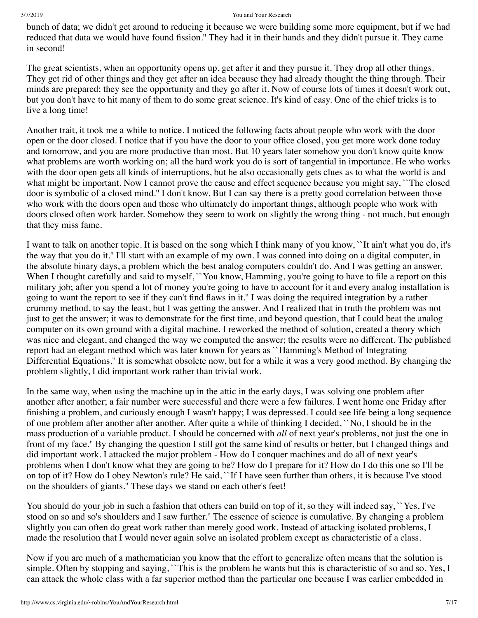bunch of data; we didn't get around to reducing it because we were building some more equipment, but if we had reduced that data we would have found fission.'' They had it in their hands and they didn't pursue it. They came in second!

The great scientists, when an opportunity opens up, get after it and they pursue it. They drop all other things. They get rid of other things and they get after an idea because they had already thought the thing through. Their minds are prepared; they see the opportunity and they go after it. Now of course lots of times it doesn't work out, but you don't have to hit many of them to do some great science. It's kind of easy. One of the chief tricks is to live a long time!

Another trait, it took me a while to notice. I noticed the following facts about people who work with the door open or the door closed. I notice that if you have the door to your office closed, you get more work done today and tomorrow, and you are more productive than most. But 10 years later somehow you don't know quite know what problems are worth working on; all the hard work you do is sort of tangential in importance. He who works with the door open gets all kinds of interruptions, but he also occasionally gets clues as to what the world is and what might be important. Now I cannot prove the cause and effect sequence because you might say, ``The closed door is symbolic of a closed mind.'' I don't know. But I can say there is a pretty good correlation between those who work with the doors open and those who ultimately do important things, although people who work with doors closed often work harder. Somehow they seem to work on slightly the wrong thing - not much, but enough that they miss fame.

I want to talk on another topic. It is based on the song which I think many of you know, ``It ain't what you do, it's the way that you do it.'' I'll start with an example of my own. I was conned into doing on a digital computer, in the absolute binary days, a problem which the best analog computers couldn't do. And I was getting an answer. When I thought carefully and said to myself, "You know, Hamming, you're going to have to file a report on this military job; after you spend a lot of money you're going to have to account for it and every analog installation is going to want the report to see if they can't find flaws in it.'' I was doing the required integration by a rather crummy method, to say the least, but I was getting the answer. And I realized that in truth the problem was not just to get the answer; it was to demonstrate for the first time, and beyond question, that I could beat the analog computer on its own ground with a digital machine. I reworked the method of solution, created a theory which was nice and elegant, and changed the way we computed the answer; the results were no different. The published report had an elegant method which was later known for years as ``Hamming's Method of Integrating Differential Equations.'' It is somewhat obsolete now, but for a while it was a very good method. By changing the problem slightly, I did important work rather than trivial work.

In the same way, when using the machine up in the attic in the early days, I was solving one problem after another after another; a fair number were successful and there were a few failures. I went home one Friday after finishing a problem, and curiously enough I wasn't happy; I was depressed. I could see life being a long sequence of one problem after another after another. After quite a while of thinking I decided, ``No, I should be in the mass production of a variable product. I should be concerned with *all* of next year's problems, not just the one in front of my face.'' By changing the question I still got the same kind of results or better, but I changed things and did important work. I attacked the major problem - How do I conquer machines and do all of next year's problems when I don't know what they are going to be? How do I prepare for it? How do I do this one so I'll be on top of it? How do I obey Newton's rule? He said, ``If I have seen further than others, it is because I've stood on the shoulders of giants.'' These days we stand on each other's feet!

You should do your job in such a fashion that others can build on top of it, so they will indeed say, "Yes, I've stood on so and so's shoulders and I saw further.'' The essence of science is cumulative. By changing a problem slightly you can often do great work rather than merely good work. Instead of attacking isolated problems, I made the resolution that I would never again solve an isolated problem except as characteristic of a class.

Now if you are much of a mathematician you know that the effort to generalize often means that the solution is simple. Often by stopping and saying, "This is the problem he wants but this is characteristic of so and so. Yes, I can attack the whole class with a far superior method than the particular one because I was earlier embedded in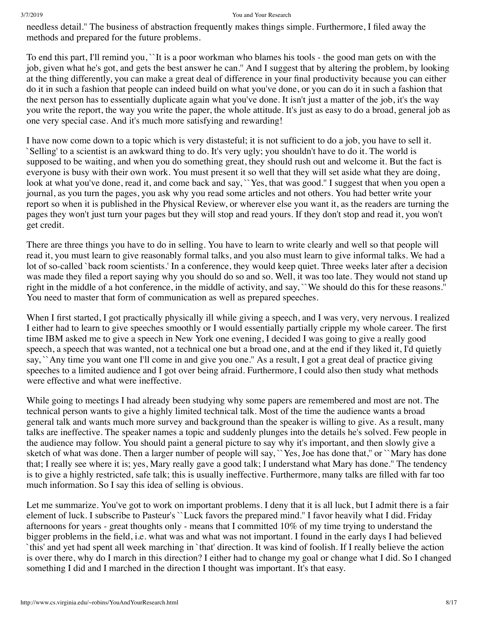needless detail.'' The business of abstraction frequently makes things simple. Furthermore, I filed away the methods and prepared for the future problems.

To end this part, I'll remind you, ``It is a poor workman who blames his tools - the good man gets on with the job, given what he's got, and gets the best answer he can.'' And I suggest that by altering the problem, by looking at the thing differently, you can make a great deal of difference in your final productivity because you can either do it in such a fashion that people can indeed build on what you've done, or you can do it in such a fashion that the next person has to essentially duplicate again what you've done. It isn't just a matter of the job, it's the way you write the report, the way you write the paper, the whole attitude. It's just as easy to do a broad, general job as one very special case. And it's much more satisfying and rewarding!

I have now come down to a topic which is very distasteful; it is not sufficient to do a job, you have to sell it. `Selling' to a scientist is an awkward thing to do. It's very ugly; you shouldn't have to do it. The world is supposed to be waiting, and when you do something great, they should rush out and welcome it. But the fact is everyone is busy with their own work. You must present it so well that they will set aside what they are doing, look at what you've done, read it, and come back and say, "Yes, that was good." I suggest that when you open a journal, as you turn the pages, you ask why you read some articles and not others. You had better write your report so when it is published in the Physical Review, or wherever else you want it, as the readers are turning the pages they won't just turn your pages but they will stop and read yours. If they don't stop and read it, you won't get credit.

There are three things you have to do in selling. You have to learn to write clearly and well so that people will read it, you must learn to give reasonably formal talks, and you also must learn to give informal talks. We had a lot of so-called `back room scientists.' In a conference, they would keep quiet. Three weeks later after a decision was made they filed a report saying why you should do so and so. Well, it was too late. They would not stand up right in the middle of a hot conference, in the middle of activity, and say, ``We should do this for these reasons.'' You need to master that form of communication as well as prepared speeches.

When I first started, I got practically physically ill while giving a speech, and I was very, very nervous. I realized I either had to learn to give speeches smoothly or I would essentially partially cripple my whole career. The first time IBM asked me to give a speech in New York one evening, I decided I was going to give a really good speech, a speech that was wanted, not a technical one but a broad one, and at the end if they liked it, I'd quietly say, ``Any time you want one I'll come in and give you one." As a result, I got a great deal of practice giving speeches to a limited audience and I got over being afraid. Furthermore, I could also then study what methods were effective and what were ineffective.

While going to meetings I had already been studying why some papers are remembered and most are not. The technical person wants to give a highly limited technical talk. Most of the time the audience wants a broad general talk and wants much more survey and background than the speaker is willing to give. As a result, many talks are ineffective. The speaker names a topic and suddenly plunges into the details he's solved. Few people in the audience may follow. You should paint a general picture to say why it's important, and then slowly give a sketch of what was done. Then a larger number of people will say, "Yes, Joe has done that," or "Mary has done that; I really see where it is; yes, Mary really gave a good talk; I understand what Mary has done.'' The tendency is to give a highly restricted, safe talk; this is usually ineffective. Furthermore, many talks are filled with far too much information. So I say this idea of selling is obvious.

Let me summarize. You've got to work on important problems. I deny that it is all luck, but I admit there is a fair element of luck. I subscribe to Pasteur's ``Luck favors the prepared mind.'' I favor heavily what I did. Friday afternoons for years - great thoughts only - means that I committed 10% of my time trying to understand the bigger problems in the field, i.e. what was and what was not important. I found in the early days I had believed `this' and yet had spent all week marching in `that' direction. It was kind of foolish. If I really believe the action is over there, why do I march in this direction? I either had to change my goal or change what I did. So I changed something I did and I marched in the direction I thought was important. It's that easy.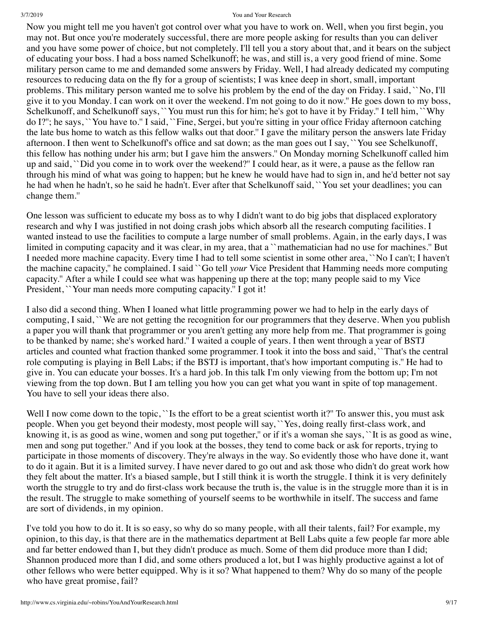Now you might tell me you haven't got control over what you have to work on. Well, when you first begin, you may not. But once you're moderately successful, there are more people asking for results than you can deliver and you have some power of choice, but not completely. I'll tell you a story about that, and it bears on the subject of educating your boss. I had a boss named Schelkunoff; he was, and still is, a very good friend of mine. Some military person came to me and demanded some answers by Friday. Well, I had already dedicated my computing resources to reducing data on the fly for a group of scientists; I was knee deep in short, small, important problems. This military person wanted me to solve his problem by the end of the day on Friday. I said, ``No, I'll give it to you Monday. I can work on it over the weekend. I'm not going to do it now.'' He goes down to my boss, Schelkunoff, and Schelkunoff says, ``You must run this for him; he's got to have it by Friday.'' I tell him, ``Why do I?''; he says, ``You have to.'' I said, ``Fine, Sergei, but you're sitting in your office Friday afternoon catching the late bus home to watch as this fellow walks out that door.'' I gave the military person the answers late Friday afternoon. I then went to Schelkunoff's office and sat down; as the man goes out I say, ``You see Schelkunoff, this fellow has nothing under his arm; but I gave him the answers.'' On Monday morning Schelkunoff called him up and said, ``Did you come in to work over the weekend?'' I could hear, as it were, a pause as the fellow ran through his mind of what was going to happen; but he knew he would have had to sign in, and he'd better not say he had when he hadn't, so he said he hadn't. Ever after that Schelkunoff said, ``You set your deadlines; you can change them.''

One lesson was sufficient to educate my boss as to why I didn't want to do big jobs that displaced exploratory research and why I was justified in not doing crash jobs which absorb all the research computing facilities. I wanted instead to use the facilities to compute a large number of small problems. Again, in the early days, I was limited in computing capacity and it was clear, in my area, that a "mathematician had no use for machines." But I needed more machine capacity. Every time I had to tell some scientist in some other area, ``No I can't; I haven't the machine capacity,'' he complained. I said ``Go tell *your* Vice President that Hamming needs more computing capacity.'' After a while I could see what was happening up there at the top; many people said to my Vice President, "Your man needs more computing capacity." I got it!

I also did a second thing. When I loaned what little programming power we had to help in the early days of computing, I said, ``We are not getting the recognition for our programmers that they deserve. When you publish a paper you will thank that programmer or you aren't getting any more help from me. That programmer is going to be thanked by name; she's worked hard.'' I waited a couple of years. I then went through a year of BSTJ articles and counted what fraction thanked some programmer. I took it into the boss and said, ``That's the central role computing is playing in Bell Labs; if the BSTJ is important, that's how important computing is.'' He had to give in. You can educate your bosses. It's a hard job. In this talk I'm only viewing from the bottom up; I'm not viewing from the top down. But I am telling you how you can get what you want in spite of top management. You have to sell your ideas there also.

Well I now come down to the topic, "Is the effort to be a great scientist worth it?" To answer this, you must ask people. When you get beyond their modesty, most people will say, ``Yes, doing really first-class work, and knowing it, is as good as wine, women and song put together,'' or if it's a woman she says, ``It is as good as wine, men and song put together.'' And if you look at the bosses, they tend to come back or ask for reports, trying to participate in those moments of discovery. They're always in the way. So evidently those who have done it, want to do it again. But it is a limited survey. I have never dared to go out and ask those who didn't do great work how they felt about the matter. It's a biased sample, but I still think it is worth the struggle. I think it is very definitely worth the struggle to try and do first-class work because the truth is, the value is in the struggle more than it is in the result. The struggle to make something of yourself seems to be worthwhile in itself. The success and fame are sort of dividends, in my opinion.

I've told you how to do it. It is so easy, so why do so many people, with all their talents, fail? For example, my opinion, to this day, is that there are in the mathematics department at Bell Labs quite a few people far more able and far better endowed than I, but they didn't produce as much. Some of them did produce more than I did; Shannon produced more than I did, and some others produced a lot, but I was highly productive against a lot of other fellows who were better equipped. Why is it so? What happened to them? Why do so many of the people who have great promise, fail?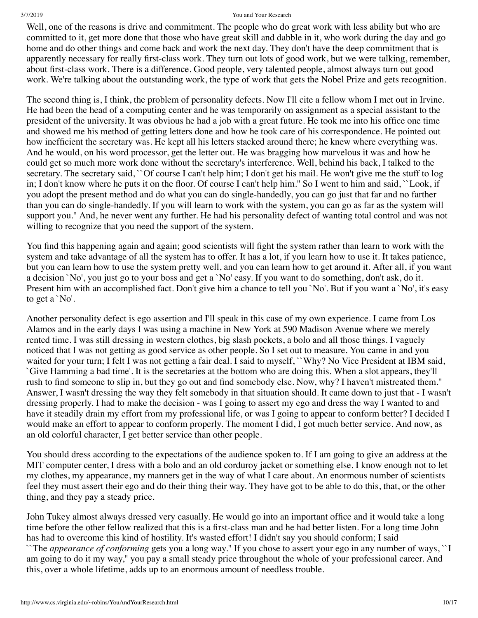Well, one of the reasons is drive and commitment. The people who do great work with less ability but who are committed to it, get more done that those who have great skill and dabble in it, who work during the day and go home and do other things and come back and work the next day. They don't have the deep commitment that is apparently necessary for really first-class work. They turn out lots of good work, but we were talking, remember, about first-class work. There is a difference. Good people, very talented people, almost always turn out good work. We're talking about the outstanding work, the type of work that gets the Nobel Prize and gets recognition.

The second thing is, I think, the problem of personality defects. Now I'll cite a fellow whom I met out in Irvine. He had been the head of a computing center and he was temporarily on assignment as a special assistant to the president of the university. It was obvious he had a job with a great future. He took me into his office one time and showed me his method of getting letters done and how he took care of his correspondence. He pointed out how inefficient the secretary was. He kept all his letters stacked around there; he knew where everything was. And he would, on his word processor, get the letter out. He was bragging how marvelous it was and how he could get so much more work done without the secretary's interference. Well, behind his back, I talked to the secretary. The secretary said, ``Of course I can't help him; I don't get his mail. He won't give me the stuff to log in; I don't know where he puts it on the floor. Of course I can't help him.'' So I went to him and said, ``Look, if you adopt the present method and do what you can do single-handedly, you can go just that far and no farther than you can do single-handedly. If you will learn to work with the system, you can go as far as the system will support you.'' And, he never went any further. He had his personality defect of wanting total control and was not willing to recognize that you need the support of the system.

You find this happening again and again; good scientists will fight the system rather than learn to work with the system and take advantage of all the system has to offer. It has a lot, if you learn how to use it. It takes patience, but you can learn how to use the system pretty well, and you can learn how to get around it. After all, if you want a decision `No', you just go to your boss and get a `No' easy. If you want to do something, don't ask, do it. Present him with an accomplished fact. Don't give him a chance to tell you `No'. But if you want a `No', it's easy to get a `No'.

Another personality defect is ego assertion and I'll speak in this case of my own experience. I came from Los Alamos and in the early days I was using a machine in New York at 590 Madison Avenue where we merely rented time. I was still dressing in western clothes, big slash pockets, a bolo and all those things. I vaguely noticed that I was not getting as good service as other people. So I set out to measure. You came in and you waited for your turn; I felt I was not getting a fair deal. I said to myself, "Why? No Vice President at IBM said, `Give Hamming a bad time'. It is the secretaries at the bottom who are doing this. When a slot appears, they'll rush to find someone to slip in, but they go out and find somebody else. Now, why? I haven't mistreated them.'' Answer, I wasn't dressing the way they felt somebody in that situation should. It came down to just that - I wasn't dressing properly. I had to make the decision - was I going to assert my ego and dress the way I wanted to and have it steadily drain my effort from my professional life, or was I going to appear to conform better? I decided I would make an effort to appear to conform properly. The moment I did, I got much better service. And now, as an old colorful character, I get better service than other people.

You should dress according to the expectations of the audience spoken to. If I am going to give an address at the MIT computer center, I dress with a bolo and an old corduroy jacket or something else. I know enough not to let my clothes, my appearance, my manners get in the way of what I care about. An enormous number of scientists feel they must assert their ego and do their thing their way. They have got to be able to do this, that, or the other thing, and they pay a steady price.

John Tukey almost always dressed very casually. He would go into an important office and it would take a long time before the other fellow realized that this is a first-class man and he had better listen. For a long time John has had to overcome this kind of hostility. It's wasted effort! I didn't say you should conform; I said ``The *appearance of conforming* gets you a long way.'' If you chose to assert your ego in any number of ways, ``I am going to do it my way,'' you pay a small steady price throughout the whole of your professional career. And this, over a whole lifetime, adds up to an enormous amount of needless trouble.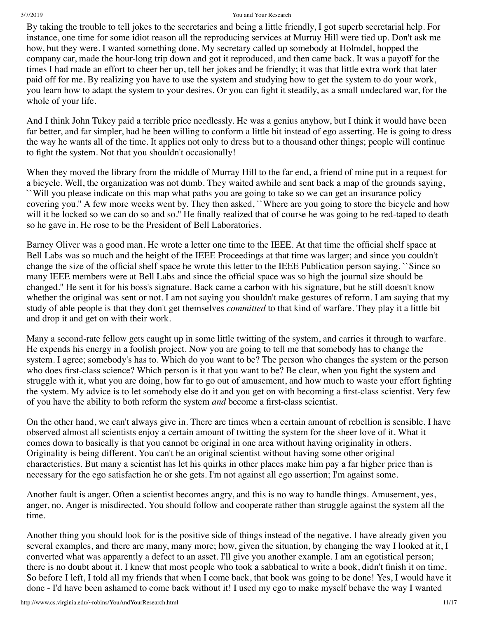By taking the trouble to tell jokes to the secretaries and being a little friendly, I got superb secretarial help. For instance, one time for some idiot reason all the reproducing services at Murray Hill were tied up. Don't ask me how, but they were. I wanted something done. My secretary called up somebody at Holmdel, hopped the company car, made the hour-long trip down and got it reproduced, and then came back. It was a payoff for the times I had made an effort to cheer her up, tell her jokes and be friendly; it was that little extra work that later paid off for me. By realizing you have to use the system and studying how to get the system to do your work, you learn how to adapt the system to your desires. Or you can fight it steadily, as a small undeclared war, for the whole of your life.

And I think John Tukey paid a terrible price needlessly. He was a genius anyhow, but I think it would have been far better, and far simpler, had he been willing to conform a little bit instead of ego asserting. He is going to dress the way he wants all of the time. It applies not only to dress but to a thousand other things; people will continue to fight the system. Not that you shouldn't occasionally!

When they moved the library from the middle of Murray Hill to the far end, a friend of mine put in a request for a bicycle. Well, the organization was not dumb. They waited awhile and sent back a map of the grounds saying, ``Will you please indicate on this map what paths you are going to take so we can get an insurance policy covering you.'' A few more weeks went by. They then asked, ``Where are you going to store the bicycle and how will it be locked so we can do so and so." He finally realized that of course he was going to be red-taped to death so he gave in. He rose to be the President of Bell Laboratories.

Barney Oliver was a good man. He wrote a letter one time to the IEEE. At that time the official shelf space at Bell Labs was so much and the height of the IEEE Proceedings at that time was larger; and since you couldn't change the size of the official shelf space he wrote this letter to the IEEE Publication person saying, ``Since so many IEEE members were at Bell Labs and since the official space was so high the journal size should be changed.'' He sent it for his boss's signature. Back came a carbon with his signature, but he still doesn't know whether the original was sent or not. I am not saying you shouldn't make gestures of reform. I am saying that my study of able people is that they don't get themselves *committed* to that kind of warfare. They play it a little bit and drop it and get on with their work.

Many a second-rate fellow gets caught up in some little twitting of the system, and carries it through to warfare. He expends his energy in a foolish project. Now you are going to tell me that somebody has to change the system. I agree; somebody's has to. Which do you want to be? The person who changes the system or the person who does first-class science? Which person is it that you want to be? Be clear, when you fight the system and struggle with it, what you are doing, how far to go out of amusement, and how much to waste your effort fighting the system. My advice is to let somebody else do it and you get on with becoming a first-class scientist. Very few of you have the ability to both reform the system *and* become a first-class scientist.

On the other hand, we can't always give in. There are times when a certain amount of rebellion is sensible. I have observed almost all scientists enjoy a certain amount of twitting the system for the sheer love of it. What it comes down to basically is that you cannot be original in one area without having originality in others. Originality is being different. You can't be an original scientist without having some other original characteristics. But many a scientist has let his quirks in other places make him pay a far higher price than is necessary for the ego satisfaction he or she gets. I'm not against all ego assertion; I'm against some.

Another fault is anger. Often a scientist becomes angry, and this is no way to handle things. Amusement, yes, anger, no. Anger is misdirected. You should follow and cooperate rather than struggle against the system all the time.

Another thing you should look for is the positive side of things instead of the negative. I have already given you several examples, and there are many, many more; how, given the situation, by changing the way I looked at it, I converted what was apparently a defect to an asset. I'll give you another example. I am an egotistical person; there is no doubt about it. I knew that most people who took a sabbatical to write a book, didn't finish it on time. So before I left, I told all my friends that when I come back, that book was going to be done! Yes, I would have it done - I'd have been ashamed to come back without it! I used my ego to make myself behave the way I wanted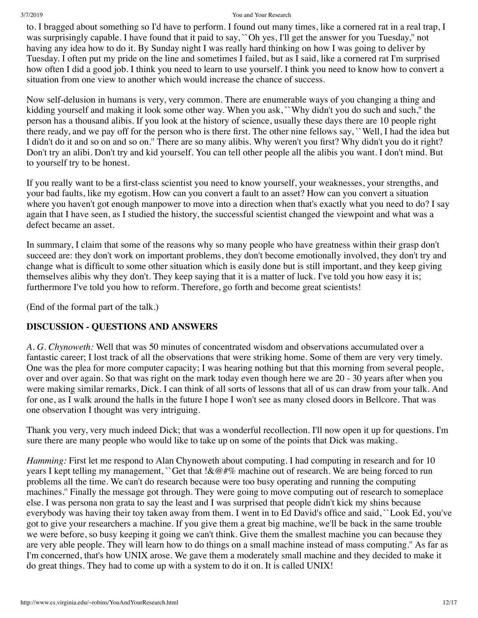to. I bragged about something so I'd have to perform. I found out many times, like a cornered rat in a real trap, I was surprisingly capable. I have found that it paid to say, "Oh yes, I'll get the answer for you Tuesday," not having any idea how to do it. By Sunday night I was really hard thinking on how I was going to deliver by Tuesday. I often put my pride on the line and sometimes I failed, but as I said, like a cornered rat I'm surprised how often I did a good job. I think you need to learn to use yourself. I think you need to know how to convert a situation from one view to another which would increase the chance of success.

Now self-delusion in humans is very, very common. There are enumerable ways of you changing a thing and kidding yourself and making it look some other way. When you ask, ``Why didn't you do such and such,'' the person has a thousand alibis. If you look at the history of science, usually these days there are 10 people right there ready, and we pay off for the person who is there first. The other nine fellows say, ``Well, I had the idea but I didn't do it and so on and so on.'' There are so many alibis. Why weren't you first? Why didn't you do it right? Don't try an alibi. Don't try and kid yourself. You can tell other people all the alibis you want. I don't mind. But to yourself try to be honest.

If you really want to be a first-class scientist you need to know yourself, your weaknesses, your strengths, and your bad faults, like my egotism. How can you convert a fault to an asset? How can you convert a situation where you haven't got enough manpower to move into a direction when that's exactly what you need to do? I say again that I have seen, as I studied the history, the successful scientist changed the viewpoint and what was a defect became an asset.

In summary, I claim that some of the reasons why so many people who have greatness within their grasp don't succeed are: they don't work on important problems, they don't become emotionally involved, they don't try and change what is difficult to some other situation which is easily done but is still important, and they keep giving themselves alibis why they don't. They keep saying that it is a matter of luck. I've told you how easy it is; furthermore I've told you how to reform. Therefore, go forth and become great scientists!

(End of the formal part of the talk.)

# **DISCUSSION - QUESTIONS AND ANSWERS**

*A. G. Chynoweth:* Well that was 50 minutes of concentrated wisdom and observations accumulated over a fantastic career; I lost track of all the observations that were striking home. Some of them are very very timely. One was the plea for more computer capacity; I was hearing nothing but that this morning from several people, over and over again. So that was right on the mark today even though here we are 20 - 30 years after when you were making similar remarks, Dick. I can think of all sorts of lessons that all of us can draw from your talk. And for one, as I walk around the halls in the future I hope I won't see as many closed doors in Bellcore. That was one observation I thought was very intriguing.

Thank you very, very much indeed Dick; that was a wonderful recollection. I'll now open it up for questions. I'm sure there are many people who would like to take up on some of the points that Dick was making.

*Hamming:* First let me respond to Alan Chynoweth about computing. I had computing in research and for 10 years I kept telling my management, "Get that !&@#% machine out of research. We are being forced to run problems all the time. We can't do research because were too busy operating and running the computing machines.'' Finally the message got through. They were going to move computing out of research to someplace else. I was persona non grata to say the least and I was surprised that people didn't kick my shins because everybody was having their toy taken away from them. I went in to Ed David's office and said, ``Look Ed, you've got to give your researchers a machine. If you give them a great big machine, we'll be back in the same trouble we were before, so busy keeping it going we can't think. Give them the smallest machine you can because they are very able people. They will learn how to do things on a small machine instead of mass computing.'' As far as I'm concerned, that's how UNIX arose. We gave them a moderately small machine and they decided to make it do great things. They had to come up with a system to do it on. It is called UNIX!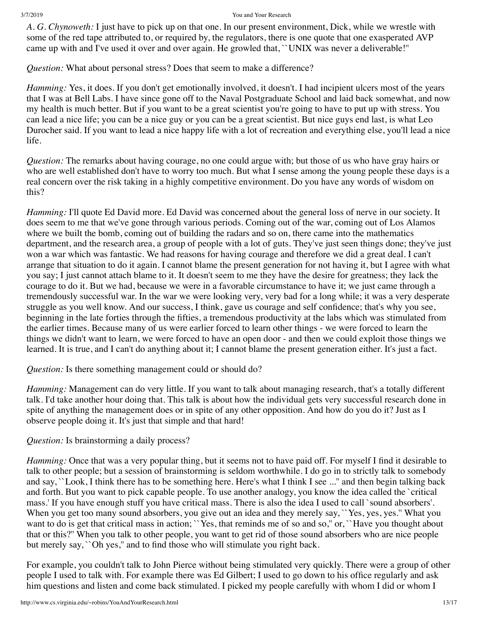*A. G. Chynoweth:* I just have to pick up on that one. In our present environment, Dick, while we wrestle with some of the red tape attributed to, or required by, the regulators, there is one quote that one exasperated AVP came up with and I've used it over and over again. He growled that, ``UNIX was never a deliverable!''

# *Question:* What about personal stress? Does that seem to make a difference?

*Hamming:* Yes, it does. If you don't get emotionally involved, it doesn't. I had incipient ulcers most of the years that I was at Bell Labs. I have since gone off to the Naval Postgraduate School and laid back somewhat, and now my health is much better. But if you want to be a great scientist you're going to have to put up with stress. You can lead a nice life; you can be a nice guy or you can be a great scientist. But nice guys end last, is what Leo Durocher said. If you want to lead a nice happy life with a lot of recreation and everything else, you'll lead a nice life.

*Question:* The remarks about having courage, no one could argue with; but those of us who have gray hairs or who are well established don't have to worry too much. But what I sense among the young people these days is a real concern over the risk taking in a highly competitive environment. Do you have any words of wisdom on this?

*Hamming:* I'll quote Ed David more. Ed David was concerned about the general loss of nerve in our society. It does seem to me that we've gone through various periods. Coming out of the war, coming out of Los Alamos where we built the bomb, coming out of building the radars and so on, there came into the mathematics department, and the research area, a group of people with a lot of guts. They've just seen things done; they've just won a war which was fantastic. We had reasons for having courage and therefore we did a great deal. I can't arrange that situation to do it again. I cannot blame the present generation for not having it, but I agree with what you say; I just cannot attach blame to it. It doesn't seem to me they have the desire for greatness; they lack the courage to do it. But we had, because we were in a favorable circumstance to have it; we just came through a tremendously successful war. In the war we were looking very, very bad for a long while; it was a very desperate struggle as you well know. And our success, I think, gave us courage and self confidence; that's why you see, beginning in the late forties through the fifties, a tremendous productivity at the labs which was stimulated from the earlier times. Because many of us were earlier forced to learn other things - we were forced to learn the things we didn't want to learn, we were forced to have an open door - and then we could exploit those things we learned. It is true, and I can't do anything about it; I cannot blame the present generation either. It's just a fact.

# *Question:* Is there something management could or should do?

*Hamming:* Management can do very little. If you want to talk about managing research, that's a totally different talk. I'd take another hour doing that. This talk is about how the individual gets very successful research done in spite of anything the management does or in spite of any other opposition. And how do you do it? Just as I observe people doing it. It's just that simple and that hard!

# *Question:* Is brainstorming a daily process?

*Hamming:* Once that was a very popular thing, but it seems not to have paid off. For myself I find it desirable to talk to other people; but a session of brainstorming is seldom worthwhile. I do go in to strictly talk to somebody and say, ``Look, I think there has to be something here. Here's what I think I see ...'' and then begin talking back and forth. But you want to pick capable people. To use another analogy, you know the idea called the `critical mass.' If you have enough stuff you have critical mass. There is also the idea I used to call `sound absorbers'. When you get too many sound absorbers, you give out an idea and they merely say, ``Yes, yes, yes.'' What you want to do is get that critical mass in action; "Yes, that reminds me of so and so," or, "Have you thought about that or this?'' When you talk to other people, you want to get rid of those sound absorbers who are nice people but merely say, ``Oh yes,'' and to find those who will stimulate you right back.

For example, you couldn't talk to John Pierce without being stimulated very quickly. There were a group of other people I used to talk with. For example there was Ed Gilbert; I used to go down to his office regularly and ask him questions and listen and come back stimulated. I picked my people carefully with whom I did or whom I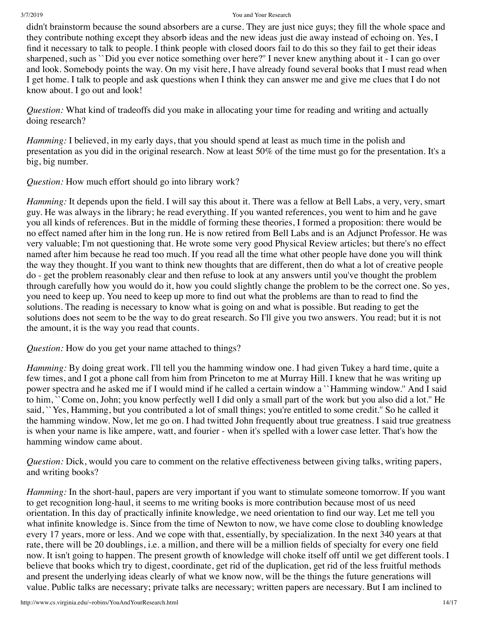didn't brainstorm because the sound absorbers are a curse. They are just nice guys; they fill the whole space and they contribute nothing except they absorb ideas and the new ideas just die away instead of echoing on. Yes, I find it necessary to talk to people. I think people with closed doors fail to do this so they fail to get their ideas sharpened, such as ``Did you ever notice something over here?'' I never knew anything about it - I can go over and look. Somebody points the way. On my visit here, I have already found several books that I must read when I get home. I talk to people and ask questions when I think they can answer me and give me clues that I do not know about. I go out and look!

*Question:* What kind of tradeoffs did you make in allocating your time for reading and writing and actually doing research?

*Hamming:* I believed, in my early days, that you should spend at least as much time in the polish and presentation as you did in the original research. Now at least 50% of the time must go for the presentation. It's a big, big number.

*Question:* How much effort should go into library work?

*Hamming:* It depends upon the field. I will say this about it. There was a fellow at Bell Labs, a very, very, smart guy. He was always in the library; he read everything. If you wanted references, you went to him and he gave you all kinds of references. But in the middle of forming these theories, I formed a proposition: there would be no effect named after him in the long run. He is now retired from Bell Labs and is an Adjunct Professor. He was very valuable; I'm not questioning that. He wrote some very good Physical Review articles; but there's no effect named after him because he read too much. If you read all the time what other people have done you will think the way they thought. If you want to think new thoughts that are different, then do what a lot of creative people do - get the problem reasonably clear and then refuse to look at any answers until you've thought the problem through carefully how you would do it, how you could slightly change the problem to be the correct one. So yes, you need to keep up. You need to keep up more to find out what the problems are than to read to find the solutions. The reading is necessary to know what is going on and what is possible. But reading to get the solutions does not seem to be the way to do great research. So I'll give you two answers. You read; but it is not the amount, it is the way you read that counts.

*Question:* How do you get your name attached to things?

*Hamming:* By doing great work. I'll tell you the hamming window one. I had given Tukey a hard time, quite a few times, and I got a phone call from him from Princeton to me at Murray Hill. I knew that he was writing up power spectra and he asked me if I would mind if he called a certain window a ``Hamming window.'' And I said to him, ``Come on, John; you know perfectly well I did only a small part of the work but you also did a lot.'' He said, "Yes, Hamming, but you contributed a lot of small things; you're entitled to some credit." So he called it the hamming window. Now, let me go on. I had twitted John frequently about true greatness. I said true greatness is when your name is like ampere, watt, and fourier - when it's spelled with a lower case letter. That's how the hamming window came about.

*Question:* Dick, would you care to comment on the relative effectiveness between giving talks, writing papers, and writing books?

*Hamming:* In the short-haul, papers are very important if you want to stimulate someone tomorrow. If you want to get recognition long-haul, it seems to me writing books is more contribution because most of us need orientation. In this day of practically infinite knowledge, we need orientation to find our way. Let me tell you what infinite knowledge is. Since from the time of Newton to now, we have come close to doubling knowledge every 17 years, more or less. And we cope with that, essentially, by specialization. In the next 340 years at that rate, there will be 20 doublings, i.e. a million, and there will be a million fields of specialty for every one field now. It isn't going to happen. The present growth of knowledge will choke itself off until we get different tools. I believe that books which try to digest, coordinate, get rid of the duplication, get rid of the less fruitful methods and present the underlying ideas clearly of what we know now, will be the things the future generations will value. Public talks are necessary; private talks are necessary; written papers are necessary. But I am inclined to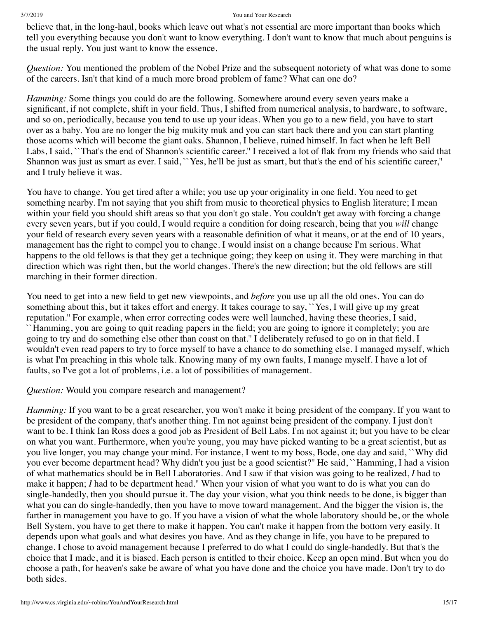believe that, in the long-haul, books which leave out what's not essential are more important than books which tell you everything because you don't want to know everything. I don't want to know that much about penguins is the usual reply. You just want to know the essence.

*Question:* You mentioned the problem of the Nobel Prize and the subsequent notoriety of what was done to some of the careers. Isn't that kind of a much more broad problem of fame? What can one do?

*Hamming:* Some things you could do are the following. Somewhere around every seven years make a significant, if not complete, shift in your field. Thus, I shifted from numerical analysis, to hardware, to software, and so on, periodically, because you tend to use up your ideas. When you go to a new field, you have to start over as a baby. You are no longer the big mukity muk and you can start back there and you can start planting those acorns which will become the giant oaks. Shannon, I believe, ruined himself. In fact when he left Bell Labs, I said, ``That's the end of Shannon's scientific career.'' I received a lot of flak from my friends who said that Shannon was just as smart as ever. I said, ``Yes, he'll be just as smart, but that's the end of his scientific career,'' and I truly believe it was.

You have to change. You get tired after a while; you use up your originality in one field. You need to get something nearby. I'm not saying that you shift from music to theoretical physics to English literature; I mean within your field you should shift areas so that you don't go stale. You couldn't get away with forcing a change every seven years, but if you could, I would require a condition for doing research, being that you *will* change your field of research every seven years with a reasonable definition of what it means, or at the end of 10 years, management has the right to compel you to change. I would insist on a change because I'm serious. What happens to the old fellows is that they get a technique going; they keep on using it. They were marching in that direction which was right then, but the world changes. There's the new direction; but the old fellows are still marching in their former direction.

You need to get into a new field to get new viewpoints, and *before* you use up all the old ones. You can do something about this, but it takes effort and energy. It takes courage to say, ``Yes, I will give up my great reputation.'' For example, when error correcting codes were well launched, having these theories, I said, ``Hamming, you are going to quit reading papers in the field; you are going to ignore it completely; you are going to try and do something else other than coast on that.'' I deliberately refused to go on in that field. I wouldn't even read papers to try to force myself to have a chance to do something else. I managed myself, which is what I'm preaching in this whole talk. Knowing many of my own faults, I manage myself. I have a lot of faults, so I've got a lot of problems, i.e. a lot of possibilities of management.

# *Question:* Would you compare research and management?

*Hamming:* If you want to be a great researcher, you won't make it being president of the company. If you want to be president of the company, that's another thing. I'm not against being president of the company. I just don't want to be. I think Ian Ross does a good job as President of Bell Labs. I'm not against it; but you have to be clear on what you want. Furthermore, when you're young, you may have picked wanting to be a great scientist, but as you live longer, you may change your mind. For instance, I went to my boss, Bode, one day and said, ``Why did you ever become department head? Why didn't you just be a good scientist?'' He said, ``Hamming, I had a vision of what mathematics should be in Bell Laboratories. And I saw if that vision was going to be realized, *I* had to make it happen; *I* had to be department head.'' When your vision of what you want to do is what you can do single-handedly, then you should pursue it. The day your vision, what you think needs to be done, is bigger than what you can do single-handedly, then you have to move toward management. And the bigger the vision is, the farther in management you have to go. If you have a vision of what the whole laboratory should be, or the whole Bell System, you have to get there to make it happen. You can't make it happen from the bottom very easily. It depends upon what goals and what desires you have. And as they change in life, you have to be prepared to change. I chose to avoid management because I preferred to do what I could do single-handedly. But that's the choice that I made, and it is biased. Each person is entitled to their choice. Keep an open mind. But when you do choose a path, for heaven's sake be aware of what you have done and the choice you have made. Don't try to do both sides.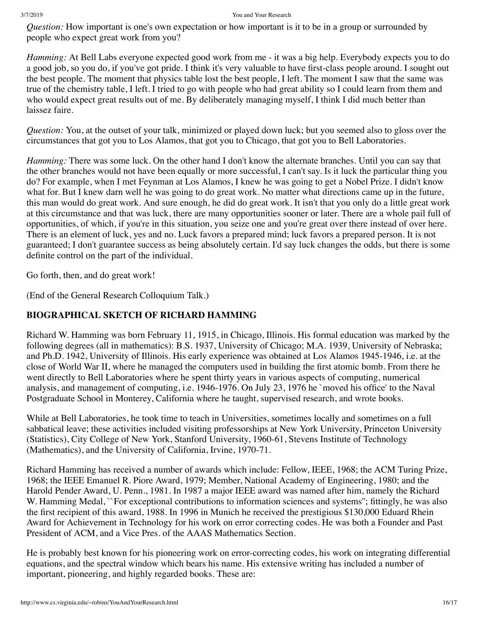*Question:* How important is one's own expectation or how important is it to be in a group or surrounded by people who expect great work from you?

*Hamming:* At Bell Labs everyone expected good work from me - it was a big help. Everybody expects you to do a good job, so you do, if you've got pride. I think it's very valuable to have first-class people around. I sought out the best people. The moment that physics table lost the best people, I left. The moment I saw that the same was true of the chemistry table, I left. I tried to go with people who had great ability so I could learn from them and who would expect great results out of me. By deliberately managing myself, I think I did much better than laissez faire.

*Question:* You, at the outset of your talk, minimized or played down luck; but you seemed also to gloss over the circumstances that got you to Los Alamos, that got you to Chicago, that got you to Bell Laboratories.

*Hamming:* There was some luck. On the other hand I don't know the alternate branches. Until you can say that the other branches would not have been equally or more successful, I can't say. Is it luck the particular thing you do? For example, when I met Feynman at Los Alamos, I knew he was going to get a Nobel Prize. I didn't know what for. But I knew darn well he was going to do great work. No matter what directions came up in the future, this man would do great work. And sure enough, he did do great work. It isn't that you only do a little great work at this circumstance and that was luck, there are many opportunities sooner or later. There are a whole pail full of opportunities, of which, if you're in this situation, you seize one and you're great over there instead of over here. There is an element of luck, yes and no. Luck favors a prepared mind; luck favors a prepared person. It is not guaranteed; I don't guarantee success as being absolutely certain. I'd say luck changes the odds, but there is some definite control on the part of the individual.

Go forth, then, and do great work!

(End of the General Research Colloquium Talk.)

# **BIOGRAPHICAL SKETCH OF RICHARD HAMMING**

Richard W. Hamming was born February 11, 1915, in Chicago, Illinois. His formal education was marked by the following degrees (all in mathematics): B.S. 1937, University of Chicago; M.A. 1939, University of Nebraska; and Ph.D. 1942, University of Illinois. His early experience was obtained at Los Alamos 1945-1946, i.e. at the close of World War II, where he managed the computers used in building the first atomic bomb. From there he went directly to Bell Laboratories where he spent thirty years in various aspects of computing, numerical analysis, and management of computing, i.e. 1946-1976. On July 23, 1976 he `moved his office' to the Naval Postgraduate School in Monterey, California where he taught, supervised research, and wrote books.

While at Bell Laboratories, he took time to teach in Universities, sometimes locally and sometimes on a full sabbatical leave; these activities included visiting professorships at New York University, Princeton University (Statistics), City College of New York, Stanford University, 1960-61, Stevens Institute of Technology (Mathematics), and the University of California, Irvine, 1970-71.

Richard Hamming has received a number of awards which include: Fellow, IEEE, 1968; the ACM Turing Prize, 1968; the IEEE Emanuel R. Piore Award, 1979; Member, National Academy of Engineering, 1980; and the Harold Pender Award, U. Penn., 1981. In 1987 a major IEEE award was named after him, namely the Richard W. Hamming Medal, "For exceptional contributions to information sciences and systems"; fittingly, he was also the first recipient of this award, 1988. In 1996 in Munich he received the prestigious \$130,000 Eduard Rhein Award for Achievement in Technology for his work on error correcting codes. He was both a Founder and Past President of ACM, and a Vice Pres. of the AAAS Mathematics Section.

He is probably best known for his pioneering work on error-correcting codes, his work on integrating differential equations, and the spectral window which bears his name. His extensive writing has included a number of important, pioneering, and highly regarded books. These are: